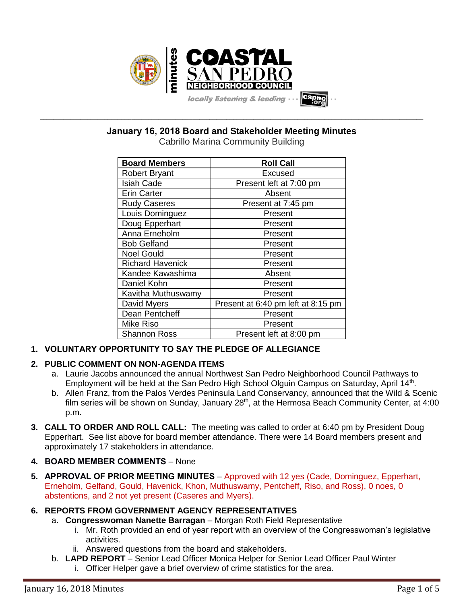

**January 16, 2018 Board and Stakeholder Meeting Minutes**

**\_\_\_\_\_\_\_\_\_\_\_\_\_\_\_\_\_\_\_\_\_\_\_\_\_\_\_\_\_\_\_\_\_\_\_\_\_\_\_\_\_\_\_\_\_\_\_\_\_\_\_\_\_\_\_\_\_\_\_\_\_\_\_\_\_\_\_\_\_\_\_\_\_\_\_\_\_\_\_\_\_\_\_\_\_\_\_\_\_\_\_\_\_\_\_\_\_\_\_\_\_\_\_\_\_\_\_\_\_\_\_\_\_**

Cabrillo Marina Community Building

| <b>Board Members</b>    | <b>Roll Call</b>                   |
|-------------------------|------------------------------------|
| <b>Robert Bryant</b>    | Excused                            |
| <b>Isiah Cade</b>       | Present left at 7:00 pm            |
| <b>Erin Carter</b>      | Absent                             |
| <b>Rudy Caseres</b>     | Present at 7:45 pm                 |
| Louis Dominguez         | Present                            |
| Doug Epperhart          | Present                            |
| Anna Erneholm           | Present                            |
| <b>Bob Gelfand</b>      | Present                            |
| <b>Noel Gould</b>       | Present                            |
| <b>Richard Havenick</b> | Present                            |
| Kandee Kawashima        | Absent                             |
| Daniel Kohn             | Present                            |
| Kavitha Muthuswamy      | Present                            |
| David Myers             | Present at 6:40 pm left at 8:15 pm |
| Dean Pentcheff          | Present                            |
| <b>Mike Riso</b>        | Present                            |
| <b>Shannon Ross</b>     | Present left at 8:00 pm            |

# **1. VOLUNTARY OPPORTUNITY TO SAY THE PLEDGE OF ALLEGIANCE**

# **2. PUBLIC COMMENT ON NON-AGENDA ITEMS**

- a. Laurie Jacobs announced the annual Northwest San Pedro Neighborhood Council Pathways to Employment will be held at the San Pedro High School Olguin Campus on Saturday, April 14<sup>th</sup>.
- b. Allen Franz, from the Palos Verdes Peninsula Land Conservancy, announced that the Wild & Scenic film series will be shown on Sunday, January 28<sup>th</sup>, at the Hermosa Beach Community Center, at 4:00 p.m.
- **3. CALL TO ORDER AND ROLL CALL:** The meeting was called to order at 6:40 pm by President Doug Epperhart. See list above for board member attendance. There were 14 Board members present and approximately 17 stakeholders in attendance.
- **4. BOARD MEMBER COMMENTS** None
- **5. APPROVAL OF PRIOR MEETING MINUTES** Approved with 12 yes (Cade, Dominguez, Epperhart, Erneholm, Gelfand, Gould, Havenick, Khon, Muthuswamy, Pentcheff, Riso, and Ross), 0 noes, 0 abstentions, and 2 not yet present (Caseres and Myers).

# **6. REPORTS FROM GOVERNMENT AGENCY REPRESENTATIVES**

- a. **Congresswoman Nanette Barragan** Morgan Roth Field Representative
	- i. Mr. Roth provided an end of year report with an overview of the Congresswoman's legislative activities.
	- ii. Answered questions from the board and stakeholders.
- b. **LAPD REPORT** Senior Lead Officer Monica Helper for Senior Lead Officer Paul Winter
	- i. Officer Helper gave a brief overview of crime statistics for the area.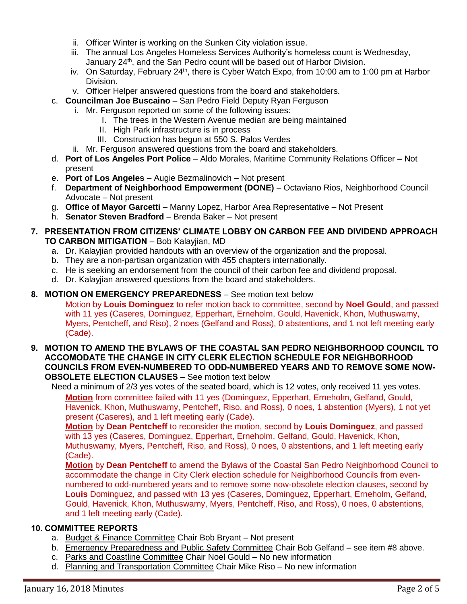- ii. Officer Winter is working on the Sunken City violation issue.
- iii. The annual Los Angeles Homeless Services Authority's homeless count is Wednesday, January 24<sup>th</sup>, and the San Pedro count will be based out of Harbor Division.
- iv. On Saturday, February 24<sup>th</sup>, there is Cyber Watch Expo, from 10:00 am to 1:00 pm at Harbor Division.
- v. Officer Helper answered questions from the board and stakeholders.
- c. **Councilman Joe Buscaino** San Pedro Field Deputy Ryan Ferguson
	- i. Mr. Ferguson reported on some of the following issues:
		- I. The trees in the Western Avenue median are being maintained
		- II. High Park infrastructure is in process
		- III. Construction has begun at 550 S. Palos Verdes
	- ii. Mr. Ferguson answered questions from the board and stakeholders.
- d. **Port of Los Angeles Port Police** Aldo Morales, Maritime Community Relations Officer **–** Not present
- e. **Port of Los Angeles** Augie Bezmalinovich **–** Not present
- f. **Department of Neighborhood Empowerment (DONE)** Octaviano Rios, Neighborhood Council Advocate – Not present
- g. **Office of Mayor Garcetti** Manny Lopez, Harbor Area Representative Not Present
- h. **Senator Steven Bradford** Brenda Baker Not present
- **7. PRESENTATION FROM CITIZENS' CLIMATE LOBBY ON CARBON FEE AND DIVIDEND APPROACH TO CARBON MITIGATION** – Bob Kalayjian, MD
	- a. Dr. Kalayjian provided handouts with an overview of the organization and the proposal.
	- b. They are a non-partisan organization with 455 chapters internationally.
	- c. He is seeking an endorsement from the council of their carbon fee and dividend proposal.
	- d. Dr. Kalayjian answered questions from the board and stakeholders.
- **8. MOTION ON EMERGENCY PREPAREDNESS** See motion text below Motion by **Louis Dominguez** to refer motion back to committee, second by **Noel Gould**, and passed with 11 yes (Caseres, Dominguez, Epperhart, Erneholm, Gould, Havenick, Khon, Muthuswamy, Myers, Pentcheff, and Riso), 2 noes (Gelfand and Ross), 0 abstentions, and 1 not left meeting early (Cade).
- **9. MOTION TO AMEND THE BYLAWS OF THE COASTAL SAN PEDRO NEIGHBORHOOD COUNCIL TO ACCOMODATE THE CHANGE IN CITY CLERK ELECTION SCHEDULE FOR NEIGHBORHOOD COUNCILS FROM EVEN-NUMBERED TO ODD-NUMBERED YEARS AND TO REMOVE SOME NOW-OBSOLETE ELECTION CLAUSES** – See motion text below

Need a minimum of 2/3 yes votes of the seated board, which is 12 votes, only received 11 yes votes. **Motion** from committee failed with 11 yes (Dominguez, Epperhart, Erneholm, Gelfand, Gould, Havenick, Khon, Muthuswamy, Pentcheff, Riso, and Ross), 0 noes, 1 abstention (Myers), 1 not yet present (Caseres), and 1 left meeting early (Cade).

**Motion** by **Dean Pentcheff** to reconsider the motion, second by **Louis Dominguez**, and passed with 13 yes (Caseres, Dominguez, Epperhart, Erneholm, Gelfand, Gould, Havenick, Khon, Muthuswamy, Myers, Pentcheff, Riso, and Ross), 0 noes, 0 abstentions, and 1 left meeting early (Cade).

**Motion** by **Dean Pentcheff** to amend the Bylaws of the Coastal San Pedro Neighborhood Council to accommodate the change in City Clerk election schedule for Neighborhood Councils from evennumbered to odd-numbered years and to remove some now-obsolete election clauses, second by **Louis** Dominguez, and passed with 13 yes (Caseres, Dominguez, Epperhart, Erneholm, Gelfand, Gould, Havenick, Khon, Muthuswamy, Myers, Pentcheff, Riso, and Ross), 0 noes, 0 abstentions, and 1 left meeting early (Cade).

### **10. COMMITTEE REPORTS**

- a. Budget & Finance Committee Chair Bob Bryant Not present
- b. Emergency Preparedness and Public Safety Committee Chair Bob Gelfand see item #8 above.
- c. Parks and Coastline Committee Chair Noel Gould No new information
- d. Planning and Transportation Committee Chair Mike Riso No new information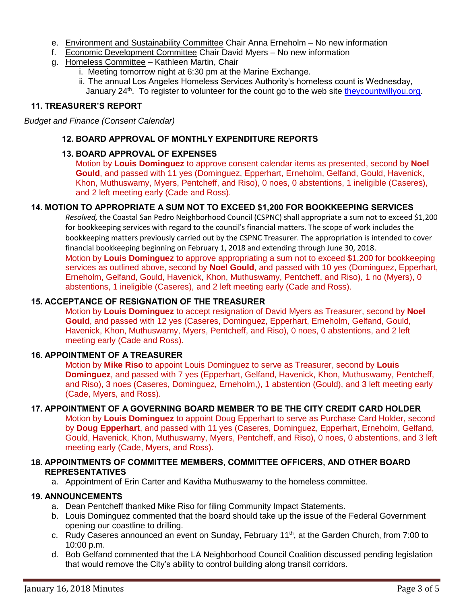- e. Environment and Sustainability Committee Chair Anna Erneholm No new information
- f. Economic Development Committee Chair David Myers No new information
- g. Homeless Committee Kathleen Martin, Chair
	- i. Meeting tomorrow night at 6:30 pm at the Marine Exchange.
	- ii. The annual Los Angeles Homeless Services Authority's homeless count is Wednesday, January 24<sup>th</sup>. To register to volunteer for the count go to the web site [theycountwillyou.org.](http://www.theycountwillyou.org/)

### **11. TREASURER'S REPORT**

*Budget and Finance (Consent Calendar)*

### **12. BOARD APPROVAL OF MONTHLY EXPENDITURE REPORTS**

## **13. BOARD APPROVAL OF EXPENSES**

Motion by **Louis Dominguez** to approve consent calendar items as presented, second by **Noel Gould**, and passed with 11 yes (Dominguez, Epperhart, Erneholm, Gelfand, Gould, Havenick, Khon, Muthuswamy, Myers, Pentcheff, and Riso), 0 noes, 0 abstentions, 1 ineligible (Caseres), and 2 left meeting early (Cade and Ross).

#### **14. MOTION TO APPROPRIATE A SUM NOT TO EXCEED \$1,200 FOR BOOKKEEPING SERVICES**

*Resolved,* the Coastal San Pedro Neighborhood Council (CSPNC) shall appropriate a sum not to exceed \$1,200 for bookkeeping services with regard to the council's financial matters. The scope of work includes the bookkeeping matters previously carried out by the CSPNC Treasurer. The appropriation is intended to cover financial bookkeeping beginning on February 1, 2018 and extending through June 30, 2018.

Motion by **Louis Dominguez** to approve appropriating a sum not to exceed \$1,200 for bookkeeping services as outlined above, second by **Noel Gould**, and passed with 10 yes (Dominguez, Epperhart, Erneholm, Gelfand, Gould, Havenick, Khon, Muthuswamy, Pentcheff, and Riso), 1 no (Myers), 0 abstentions, 1 ineligible (Caseres), and 2 left meeting early (Cade and Ross).

## **15. ACCEPTANCE OF RESIGNATION OF THE TREASURER**

Motion by **Louis Dominguez** to accept resignation of David Myers as Treasurer, second by **Noel Gould**, and passed with 12 yes (Caseres, Dominguez, Epperhart, Erneholm, Gelfand, Gould, Havenick, Khon, Muthuswamy, Myers, Pentcheff, and Riso), 0 noes, 0 abstentions, and 2 left meeting early (Cade and Ross).

#### **16. APPOINTMENT OF A TREASURER**

Motion by **Mike Riso** to appoint Louis Dominguez to serve as Treasurer, second by **Louis Dominguez**, and passed with 7 yes (Epperhart, Gelfand, Havenick, Khon, Muthuswamy, Pentcheff, and Riso), 3 noes (Caseres, Dominguez, Erneholm,), 1 abstention (Gould), and 3 left meeting early (Cade, Myers, and Ross).

#### **17. APPOINTMENT OF A GOVERNING BOARD MEMBER TO BE THE CITY CREDIT CARD HOLDER**

Motion by **Louis Dominguez** to appoint Doug Epperhart to serve as Purchase Card Holder, second by **Doug Epperhart**, and passed with 11 yes (Caseres, Dominguez, Epperhart, Erneholm, Gelfand, Gould, Havenick, Khon, Muthuswamy, Myers, Pentcheff, and Riso), 0 noes, 0 abstentions, and 3 left meeting early (Cade, Myers, and Ross).

### **18. APPOINTMENTS OF COMMITTEE MEMBERS, COMMITTEE OFFICERS, AND OTHER BOARD REPRESENTATIVES**

a. Appointment of Erin Carter and Kavitha Muthuswamy to the homeless committee.

#### **19. ANNOUNCEMENTS**

- a. Dean Pentcheff thanked Mike Riso for filing Community Impact Statements.
- b. Louis Dominguez commented that the board should take up the issue of the Federal Government opening our coastline to drilling.
- c. Rudy Caseres announced an event on Sunday, February 11<sup>th</sup>, at the Garden Church, from 7:00 to 10:00 p.m.
- d. Bob Gelfand commented that the LA Neighborhood Council Coalition discussed pending legislation that would remove the City's ability to control building along transit corridors.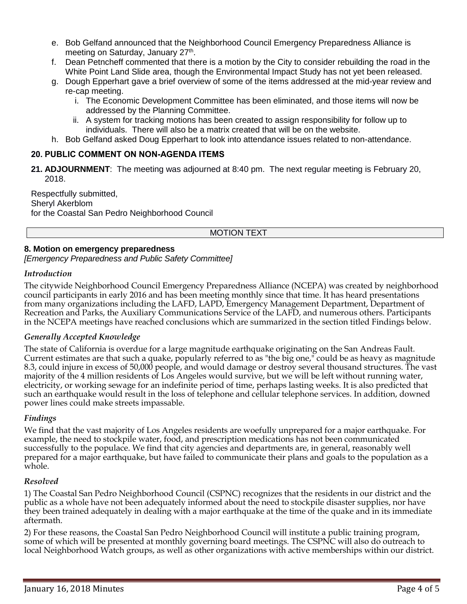- e. Bob Gelfand announced that the Neighborhood Council Emergency Preparedness Alliance is meeting on Saturday, January 27<sup>th</sup>.
- f. Dean Petncheff commented that there is a motion by the City to consider rebuilding the road in the White Point Land Slide area, though the Environmental Impact Study has not yet been released.
- g. Dough Epperhart gave a brief overview of some of the items addressed at the mid-year review and re-cap meeting.
	- i. The Economic Development Committee has been eliminated, and those items will now be addressed by the Planning Committee.
	- ii. A system for tracking motions has been created to assign responsibility for follow up to individuals. There will also be a matrix created that will be on the website.
- h. Bob Gelfand asked Doug Epperhart to look into attendance issues related to non-attendance.

## **20. PUBLIC COMMENT ON NON-AGENDA ITEMS**

**21. ADJOURNMENT**:The meeting was adjourned at 8:40 pm. The next regular meeting is February 20, 2018.

Respectfully submitted, Sheryl Akerblom for the Coastal San Pedro Neighborhood Council

## MOTION TEXT

#### **8. Motion on emergency preparedness**

*[Emergency Preparedness and Public Safety Committee]*

#### *Introduction*

The citywide Neighborhood Council Emergency Preparedness Alliance (NCEPA) was created by neighborhood council participants in early 2016 and has been meeting monthly since that time. It has heard presentations from many organizations including the LAFD, LAPD, Emergency Management Department, Department of Recreation and Parks, the Auxiliary Communications Service of the LAFD, and numerous others. Participants in the NCEPA meetings have reached conclusions which are summarized in the section titled Findings below.

#### *Generally Accepted Knowledge*

The state of California is overdue for a large magnitude earthquake originating on the San Andreas Fault. Current estimates are that such a quake, popularly referred to as "the big one," could be as heavy as magnitude 8.3, could injure in excess of 50,000 people, and would damage or destroy several thousand structures. The vast majority of the 4 million residents of Los Angeles would survive, but we will be left without running water, electricity, or working sewage for an indefinite period of time, perhaps lasting weeks. It is also predicted that such an earthquake would result in the loss of telephone and cellular telephone services. In addition, downed power lines could make streets impassable.

#### *Findings*

We find that the vast majority of Los Angeles residents are woefully unprepared for a major earthquake. For example, the need to stockpile water, food, and prescription medications has not been communicated successfully to the populace. We find that city agencies and departments are, in general, reasonably well prepared for a major earthquake, but have failed to communicate their plans and goals to the population as a whole.

#### *Resolved*

1) The Coastal San Pedro Neighborhood Council (CSPNC) recognizes that the residents in our district and the public as a whole have not been adequately informed about the need to stockpile disaster supplies, nor have they been trained adequately in dealing with a major earthquake at the time of the quake and in its immediate aftermath.

2) For these reasons, the Coastal San Pedro Neighborhood Council will institute a public training program, some of which will be presented at monthly governing board meetings. The CSPNC will also do outreach to local Neighborhood Watch groups, as well as other organizations with active memberships within our district.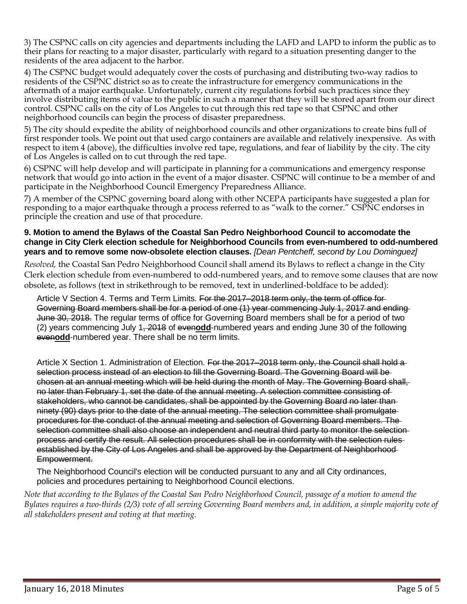3) The CSPNC calls on city agencies and departments including the LAFD and LAPD to inform the public as to their plans for reacting to a major disaster, particularly with regard to a situation presenting danger to the residents of the area adjacent to the harbor.

4) The CSPNC budget would adequately cover the costs of purchasing and distributing two-way radios to residents of the CSPNC district so as to create the infrastructure for emergency communications in the aftermath of a major earthquake. Unfortunately, current city regulations forbid such practices since they involve distributing items of value to the public in such a manner that they will be stored apart from our direct control. CSPNC calls on the city of Los Angeles to cut through this red tape so that CSPNC and other neighborhood councils can begin the process of disaster preparedness.

5) The city should expedite the ability of neighborhood councils and other organizations to create bins full of first responder tools. We point out that used cargo containers are available and relatively inexpensive. As with respect to item 4 (above), the difficulties involve red tape, regulations, and fear of liability by the city. The city of Los Angeles is called on to cut through the red tape.

6) CSPNC will help develop and will participate in planning for a communications and emergency response network that would go into action in the event of a major disaster. CSPNC will continue to be a member of and participate in the Neighborhood Council Emergency Preparedness Alliance.

7) A member of the CSPNC governing board along with other NCEPA participants have suggested a plan for responding to a major earthquake through a process referred to as "walk to the corner." CSPNC endorses in principle the creation and use of that procedure.

#### **9. Motion to amend the Bylaws of the Coastal San Pedro Neighborhood Council to accomodate the change in City Clerk election schedule for Neighborhood Councils from even-numbered to odd-numbered years and to remove some now-obsolete election clauses.** *[Dean Pentcheff, second by Lou Dominguez]*

*Resolved,* the Coastal San Pedro Neighborhood Council shall amend its Bylaws to reflect a change in the City Clerk election schedule from even-numbered to odd-numbered years, and to remove some clauses that are now obsolete, as follows (text in strikethrough to be removed, text in underlined-boldface to be added):

Article V Section 4. Terms and Term Limits. For the 2017–2018 term only, the term of office for-Governing Board members shall be for a period of one (1) year commencing July 1, 2017 and ending June 30, 2018. The regular terms of office for Governing Board members shall be for a period of two (2) years commencing July 1, 2018 of even**odd**-numbered years and ending June 30 of the following even**odd**-numbered year. There shall be no term limits.

Article X Section 1. Administration of Election. For the 2017–2018 term only, the Council shall hold a selection process instead of an election to fill the Governing Board. The Governing Board will be chosen at an annual meeting which will be held during the month of May. The Governing Board shall, no later than February 1, set the date of the annual meeting. A selection committee consisting of stakeholders, who cannot be candidates, shall be appointed by the Governing Board no later than ninety (90) days prior to the date of the annual meeting. The selection committee shall promulgate procedures for the conduct of the annual meeting and selection of Governing Board members. The selection committee shall also choose an independent and neutral third party to monitor the selectionprocess and certify the result. All selection procedures shall be in conformity with the selection rules established by the City of Los Angeles and shall be approved by the Department of Neighborhood Empowerment.

The Neighborhood Council's election will be conducted pursuant to any and all City ordinances, policies and procedures pertaining to Neighborhood Council elections.

*Note that according to the Bylaws of the Coastal San Pedro Neighborhood Council, passage of a motion to amend the Bylaws requires a two-thirds (2/3) vote of all serving Governing Board members and, in addition, a simple majority vote of all stakeholders present and voting at that meeting.*